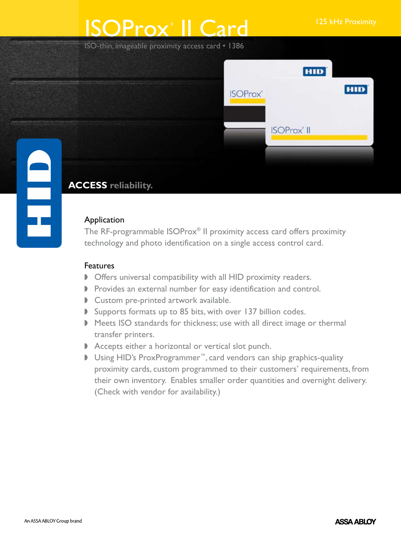# ISOProx<sup>®</sup> II Card <sup>125 kHz Proximity</sup>

ISO-thin, imageable proximity access card • 1386



## **ACCESS reliability.**

## Application

The RF-programmable ISOProx® II proximity access card offers proximity technology and photo identification on a single access control card.

## Features

- **D** Offers universal compatibility with all HID proximity readers.
- **P** Provides an external number for easy identification and control.
- Custom pre-printed artwork available.
- $\triangleright$  Supports formats up to 85 bits, with over 137 billion codes.
- Meets ISO standards for thickness; use with all direct image or thermal transfer printers.
- $\blacktriangleright$  Accepts either a horizontal or vertical slot punch.
- D Using HID's ProxProgrammer<sup>™</sup>, card vendors can ship graphics-quality proximity cards, custom programmed to their customers' requirements, from their own inventory. Enables smaller order quantities and overnight delivery. (Check with vendor for availability.)